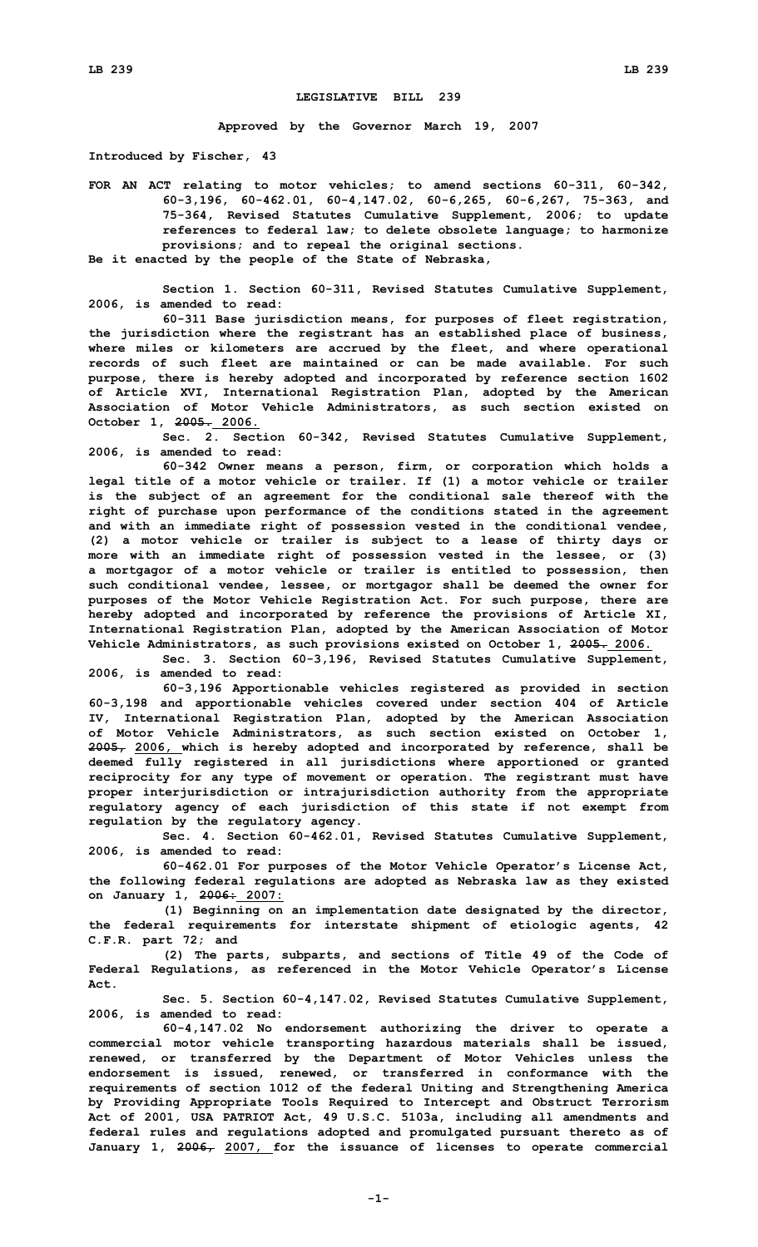## **LEGISLATIVE BILL 239**

**Approved by the Governor March 19, 2007**

**Introduced by Fischer, 43**

**FOR AN ACT relating to motor vehicles; to amend sections 60-311, 60-342, 60-3,196, 60-462.01, 60-4,147.02, 60-6,265, 60-6,267, 75-363, and 75-364, Revised Statutes Cumulative Supplement, 2006; to update references to federal law; to delete obsolete language; to harmonize provisions; and to repeal the original sections.**

**Be it enacted by the people of the State of Nebraska,**

**Section 1. Section 60-311, Revised Statutes Cumulative Supplement, 2006, is amended to read:**

**60-311 Base jurisdiction means, for purposes of fleet registration, the jurisdiction where the registrant has an established place of business, where miles or kilometers are accrued by the fleet, and where operational records of such fleet are maintained or can be made available. For such purpose, there is hereby adopted and incorporated by reference section 1602 of Article XVI, International Registration Plan, adopted by the American Association of Motor Vehicle Administrators, as such section existed on October 1, 2005. 2006.**

**Sec. 2. Section 60-342, Revised Statutes Cumulative Supplement, 2006, is amended to read:**

**60-342 Owner means <sup>a</sup> person, firm, or corporation which holds <sup>a</sup> legal title of <sup>a</sup> motor vehicle or trailer. If (1) <sup>a</sup> motor vehicle or trailer is the subject of an agreement for the conditional sale thereof with the right of purchase upon performance of the conditions stated in the agreement and with an immediate right of possession vested in the conditional vendee, (2) <sup>a</sup> motor vehicle or trailer is subject to <sup>a</sup> lease of thirty days or more with an immediate right of possession vested in the lessee, or (3) <sup>a</sup> mortgagor of <sup>a</sup> motor vehicle or trailer is entitled to possession, then such conditional vendee, lessee, or mortgagor shall be deemed the owner for purposes of the Motor Vehicle Registration Act. For such purpose, there are hereby adopted and incorporated by reference the provisions of Article XI, International Registration Plan, adopted by the American Association of Motor Vehicle Administrators, as such provisions existed on October 1, 2005. 2006.**

**Sec. 3. Section 60-3,196, Revised Statutes Cumulative Supplement, 2006, is amended to read:**

**60-3,196 Apportionable vehicles registered as provided in section 60-3,198 and apportionable vehicles covered under section 404 of Article IV, International Registration Plan, adopted by the American Association of Motor Vehicle Administrators, as such section existed on October 1, 2005, 2006, which is hereby adopted and incorporated by reference, shall be deemed fully registered in all jurisdictions where apportioned or granted reciprocity for any type of movement or operation. The registrant must have proper interjurisdiction or intrajurisdiction authority from the appropriate regulatory agency of each jurisdiction of this state if not exempt from regulation by the regulatory agency.**

**Sec. 4. Section 60-462.01, Revised Statutes Cumulative Supplement, 2006, is amended to read:**

**60-462.01 For purposes of the Motor Vehicle Operator's License Act, the following federal regulations are adopted as Nebraska law as they existed on January 1, 2006: 2007:**

**(1) Beginning on an implementation date designated by the director, the federal requirements for interstate shipment of etiologic agents, 42 C.F.R. part 72; and**

**(2) The parts, subparts, and sections of Title 49 of the Code of Federal Regulations, as referenced in the Motor Vehicle Operator's License Act.**

**Sec. 5. Section 60-4,147.02, Revised Statutes Cumulative Supplement, 2006, is amended to read:**

**60-4,147.02 No endorsement authorizing the driver to operate <sup>a</sup> commercial motor vehicle transporting hazardous materials shall be issued, renewed, or transferred by the Department of Motor Vehicles unless the endorsement is issued, renewed, or transferred in conformance with the requirements of section 1012 of the federal Uniting and Strengthening America by Providing Appropriate Tools Required to Intercept and Obstruct Terrorism Act of 2001, USA PATRIOT Act, 49 U.S.C. 5103a, including all amendments and federal rules and regulations adopted and promulgated pursuant thereto as of January 1, 2006, 2007, for the issuance of licenses to operate commercial**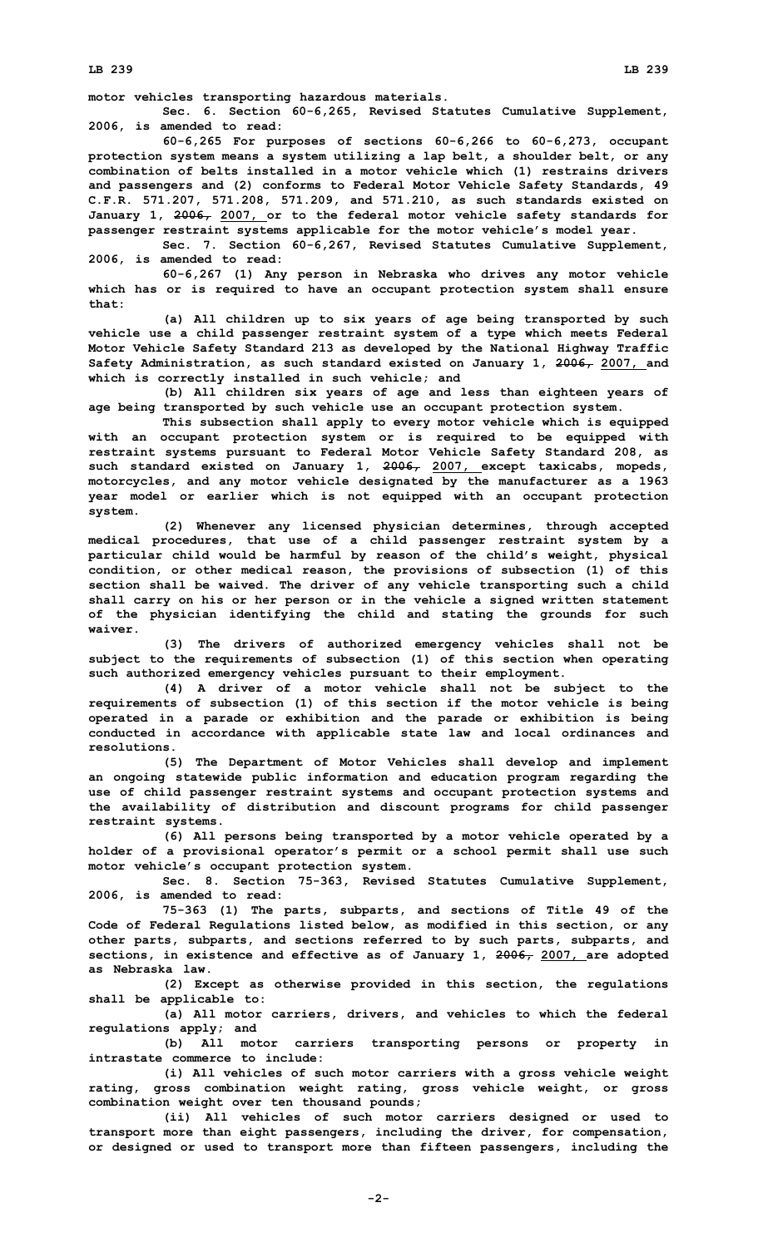**motor vehicles transporting hazardous materials.**

**Sec. 6. Section 60-6,265, Revised Statutes Cumulative Supplement, 2006, is amended to read:**

**60-6,265 For purposes of sections 60-6,266 to 60-6,273, occupant protection system means <sup>a</sup> system utilizing <sup>a</sup> lap belt, <sup>a</sup> shoulder belt, or any combination of belts installed in <sup>a</sup> motor vehicle which (1) restrains drivers and passengers and (2) conforms to Federal Motor Vehicle Safety Standards, 49 C.F.R. 571.207, 571.208, 571.209, and 571.210, as such standards existed on January 1, 2006, 2007, or to the federal motor vehicle safety standards for passenger restraint systems applicable for the motor vehicle's model year.**

**Sec. 7. Section 60-6,267, Revised Statutes Cumulative Supplement, 2006, is amended to read:**

**60-6,267 (1) Any person in Nebraska who drives any motor vehicle which has or is required to have an occupant protection system shall ensure that:**

**(a) All children up to six years of age being transported by such vehicle use <sup>a</sup> child passenger restraint system of <sup>a</sup> type which meets Federal Motor Vehicle Safety Standard 213 as developed by the National Highway Traffic Safety Administration, as such standard existed on January 1, 2006, 2007, and which is correctly installed in such vehicle; and**

**(b) All children six years of age and less than eighteen years of age being transported by such vehicle use an occupant protection system.**

**This subsection shall apply to every motor vehicle which is equipped with an occupant protection system or is required to be equipped with restraint systems pursuant to Federal Motor Vehicle Safety Standard 208, as such standard existed on January 1, 2006, 2007, except taxicabs, mopeds, motorcycles, and any motor vehicle designated by the manufacturer as <sup>a</sup> 1963 year model or earlier which is not equipped with an occupant protection system.**

**(2) Whenever any licensed physician determines, through accepted medical procedures, that use of <sup>a</sup> child passenger restraint system by <sup>a</sup> particular child would be harmful by reason of the child's weight, physical condition, or other medical reason, the provisions of subsection (1) of this section shall be waived. The driver of any vehicle transporting such <sup>a</sup> child shall carry on his or her person or in the vehicle <sup>a</sup> signed written statement of the physician identifying the child and stating the grounds for such waiver.**

**(3) The drivers of authorized emergency vehicles shall not be subject to the requirements of subsection (1) of this section when operating such authorized emergency vehicles pursuant to their employment.**

**(4) <sup>A</sup> driver of <sup>a</sup> motor vehicle shall not be subject to the requirements of subsection (1) of this section if the motor vehicle is being operated in <sup>a</sup> parade or exhibition and the parade or exhibition is being conducted in accordance with applicable state law and local ordinances and resolutions.**

**(5) The Department of Motor Vehicles shall develop and implement an ongoing statewide public information and education program regarding the use of child passenger restraint systems and occupant protection systems and the availability of distribution and discount programs for child passenger restraint systems.**

**(6) All persons being transported by <sup>a</sup> motor vehicle operated by <sup>a</sup> holder of <sup>a</sup> provisional operator's permit or <sup>a</sup> school permit shall use such motor vehicle's occupant protection system.**

**Sec. 8. Section 75-363, Revised Statutes Cumulative Supplement, 2006, is amended to read:**

**75-363 (1) The parts, subparts, and sections of Title 49 of the Code of Federal Regulations listed below, as modified in this section, or any other parts, subparts, and sections referred to by such parts, subparts, and sections, in existence and effective as of January 1, 2006, 2007, are adopted as Nebraska law.**

**(2) Except as otherwise provided in this section, the regulations shall be applicable to:**

**(a) All motor carriers, drivers, and vehicles to which the federal regulations apply; and**

**(b) All motor carriers transporting persons or property in intrastate commerce to include:**

**(i) All vehicles of such motor carriers with <sup>a</sup> gross vehicle weight rating, gross combination weight rating, gross vehicle weight, or gross combination weight over ten thousand pounds;**

**(ii) All vehicles of such motor carriers designed or used to transport more than eight passengers, including the driver, for compensation, or designed or used to transport more than fifteen passengers, including the**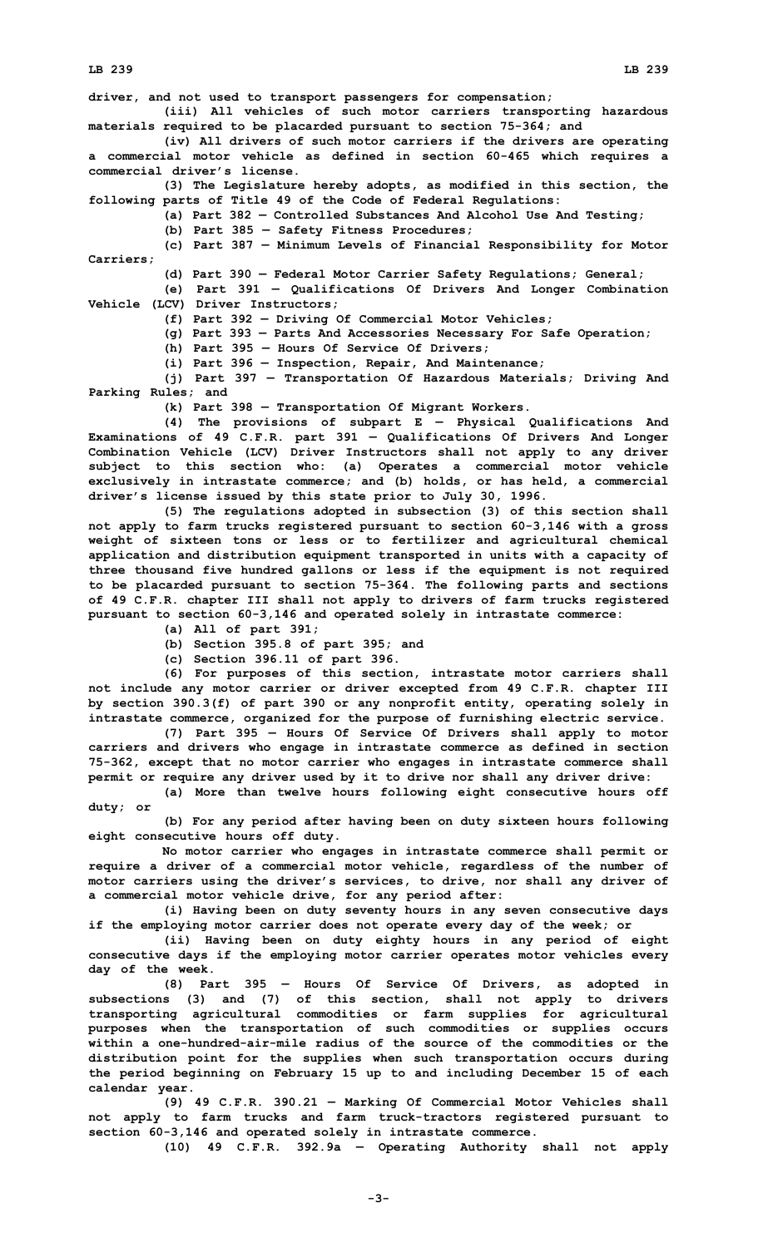**LB 239 LB 239**

**driver, and not used to transport passengers for compensation;**

**(iii) All vehicles of such motor carriers transporting hazardous materials required to be placarded pursuant to section 75-364; and**

**(iv) All drivers of such motor carriers if the drivers are operating <sup>a</sup> commercial motor vehicle as defined in section 60-465 which requires <sup>a</sup> commercial driver's license.**

**(3) The Legislature hereby adopts, as modified in this section, the following parts of Title 49 of the Code of Federal Regulations:**

**(a) Part 382 — Controlled Substances And Alcohol Use And Testing;**

**(b) Part 385 — Safety Fitness Procedures;**

**(c) Part 387 — Minimum Levels of Financial Responsibility for Motor Carriers;**

**(d) Part 390 — Federal Motor Carrier Safety Regulations; General;**

**(e) Part 391 — Qualifications Of Drivers And Longer Combination Vehicle (LCV) Driver Instructors;**

**(f) Part 392 — Driving Of Commercial Motor Vehicles;**

**(g) Part 393 — Parts And Accessories Necessary For Safe Operation;**

**(h) Part 395 — Hours Of Service Of Drivers;**

**(i) Part 396 — Inspection, Repair, And Maintenance;**

**(j) Part 397 — Transportation Of Hazardous Materials; Driving And Parking Rules; and**

**(k) Part 398 — Transportation Of Migrant Workers.**

**(4) The provisions of subpart <sup>E</sup> — Physical Qualifications And Examinations of 49 C.F.R. part 391 — Qualifications Of Drivers And Longer Combination Vehicle (LCV) Driver Instructors shall not apply to any driver subject to this section who: (a) Operates <sup>a</sup> commercial motor vehicle exclusively in intrastate commerce; and (b) holds, or has held, <sup>a</sup> commercial driver's license issued by this state prior to July 30, 1996.**

**(5) The regulations adopted in subsection (3) of this section shall not apply to farm trucks registered pursuant to section 60-3,146 with <sup>a</sup> gross weight of sixteen tons or less or to fertilizer and agricultural chemical application and distribution equipment transported in units with <sup>a</sup> capacity of three thousand five hundred gallons or less if the equipment is not required to be placarded pursuant to section 75-364. The following parts and sections of 49 C.F.R. chapter III shall not apply to drivers of farm trucks registered pursuant to section 60-3,146 and operated solely in intrastate commerce:**

**(a) All of part 391;**

**(b) Section 395.8 of part 395; and**

**(c) Section 396.11 of part 396.**

**(6) For purposes of this section, intrastate motor carriers shall not include any motor carrier or driver excepted from 49 C.F.R. chapter III by section 390.3(f) of part 390 or any nonprofit entity, operating solely in intrastate commerce, organized for the purpose of furnishing electric service.**

**(7) Part 395 — Hours Of Service Of Drivers shall apply to motor carriers and drivers who engage in intrastate commerce as defined in section 75-362, except that no motor carrier who engages in intrastate commerce shall permit or require any driver used by it to drive nor shall any driver drive:**

**(a) More than twelve hours following eight consecutive hours off duty; or**

**(b) For any period after having been on duty sixteen hours following eight consecutive hours off duty.**

**No motor carrier who engages in intrastate commerce shall permit or require <sup>a</sup> driver of <sup>a</sup> commercial motor vehicle, regardless of the number of motor carriers using the driver's services, to drive, nor shall any driver of <sup>a</sup> commercial motor vehicle drive, for any period after:**

**(i) Having been on duty seventy hours in any seven consecutive days if the employing motor carrier does not operate every day of the week; or**

**(ii) Having been on duty eighty hours in any period of eight consecutive days if the employing motor carrier operates motor vehicles every day of the week.**

**(8) Part 395 — Hours Of Service Of Drivers, as adopted in subsections (3) and (7) of this section, shall not apply to drivers transporting agricultural commodities or farm supplies for agricultural purposes when the transportation of such commodities or supplies occurs within a one-hundred-air-mile radius of the source of the commodities or the distribution point for the supplies when such transportation occurs during the period beginning on February 15 up to and including December 15 of each calendar year.**

**(9) 49 C.F.R. 390.21 — Marking Of Commercial Motor Vehicles shall not apply to farm trucks and farm truck-tractors registered pursuant to section 60-3,146 and operated solely in intrastate commerce.**

**(10) 49 C.F.R. 392.9a — Operating Authority shall not apply**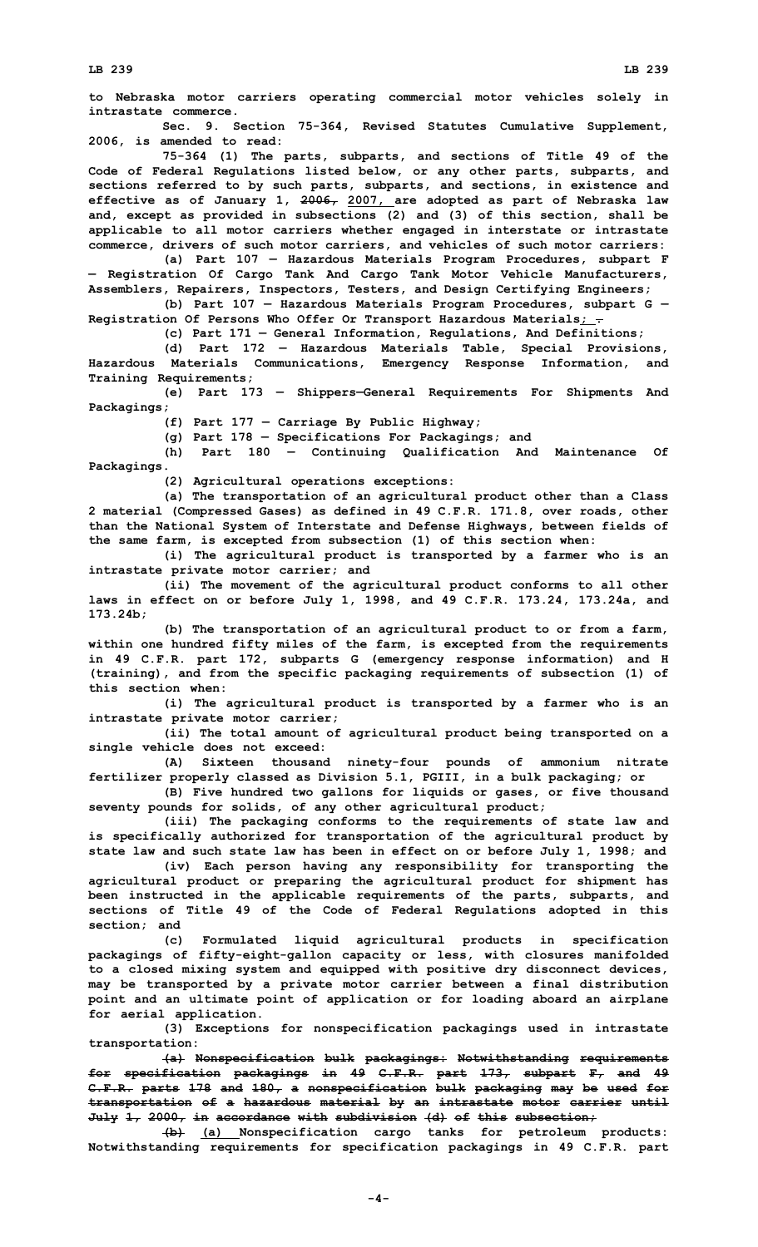**to Nebraska motor carriers operating commercial motor vehicles solely in intrastate commerce.**

**Sec. 9. Section 75-364, Revised Statutes Cumulative Supplement, 2006, is amended to read:**

**75-364 (1) The parts, subparts, and sections of Title 49 of the Code of Federal Regulations listed below, or any other parts, subparts, and sections referred to by such parts, subparts, and sections, in existence and effective as of January 1, 2006, 2007, are adopted as part of Nebraska law and, except as provided in subsections (2) and (3) of this section, shall be applicable to all motor carriers whether engaged in interstate or intrastate commerce, drivers of such motor carriers, and vehicles of such motor carriers:**

**(a) Part 107 — Hazardous Materials Program Procedures, subpart <sup>F</sup> — Registration Of Cargo Tank And Cargo Tank Motor Vehicle Manufacturers, Assemblers, Repairers, Inspectors, Testers, and Design Certifying Engineers;**

**(b) Part 107 — Hazardous Materials Program Procedures, subpart G — Registration Of Persons Who Offer Or Transport Hazardous Materials; .**

**(c) Part 171 — General Information, Regulations, And Definitions;**

**(d) Part 172 — Hazardous Materials Table, Special Provisions, Hazardous Materials Communications, Emergency Response Information, and Training Requirements;**

**(e) Part 173 — Shippers—General Requirements For Shipments And Packagings;**

**(f) Part 177 — Carriage By Public Highway;**

**(g) Part 178 — Specifications For Packagings; and**

**(h) Part 180 — Continuing Qualification And Maintenance Of Packagings.**

**(2) Agricultural operations exceptions:**

**(a) The transportation of an agricultural product other than <sup>a</sup> Class 2 material (Compressed Gases) as defined in 49 C.F.R. 171.8, over roads, other than the National System of Interstate and Defense Highways, between fields of the same farm, is excepted from subsection (1) of this section when:**

**(i) The agricultural product is transported by <sup>a</sup> farmer who is an intrastate private motor carrier; and**

**(ii) The movement of the agricultural product conforms to all other laws in effect on or before July 1, 1998, and 49 C.F.R. 173.24, 173.24a, and 173.24b;**

**(b) The transportation of an agricultural product to or from <sup>a</sup> farm, within one hundred fifty miles of the farm, is excepted from the requirements in 49 C.F.R. part 172, subparts G (emergency response information) and <sup>H</sup> (training), and from the specific packaging requirements of subsection (1) of this section when:**

**(i) The agricultural product is transported by <sup>a</sup> farmer who is an intrastate private motor carrier;**

**(ii) The total amount of agricultural product being transported on <sup>a</sup> single vehicle does not exceed:**

**(A) Sixteen thousand ninety-four pounds of ammonium nitrate fertilizer properly classed as Division 5.1, PGIII, in <sup>a</sup> bulk packaging; or**

**(B) Five hundred two gallons for liquids or gases, or five thousand seventy pounds for solids, of any other agricultural product;**

**(iii) The packaging conforms to the requirements of state law and is specifically authorized for transportation of the agricultural product by state law and such state law has been in effect on or before July 1, 1998; and**

**(iv) Each person having any responsibility for transporting the agricultural product or preparing the agricultural product for shipment has been instructed in the applicable requirements of the parts, subparts, and sections of Title 49 of the Code of Federal Regulations adopted in this section; and**

**(c) Formulated liquid agricultural products in specification packagings of fifty-eight-gallon capacity or less, with closures manifolded to <sup>a</sup> closed mixing system and equipped with positive dry disconnect devices, may be transported by <sup>a</sup> private motor carrier between <sup>a</sup> final distribution point and an ultimate point of application or for loading aboard an airplane for aerial application.**

**(3) Exceptions for nonspecification packagings used in intrastate transportation:**

**(a) Nonspecification bulk packagings: Notwithstanding requirements for specification packagings in 49 C.F.R. part 173, subpart F, and 49 C.F.R. parts 178 and 180, <sup>a</sup> nonspecification bulk packaging may be used for transportation of <sup>a</sup> hazardous material by an intrastate motor carrier until July 1, 2000, in accordance with subdivision (d) of this subsection;**

**(b) (a) Nonspecification cargo tanks for petroleum products: Notwithstanding requirements for specification packagings in 49 C.F.R. part**